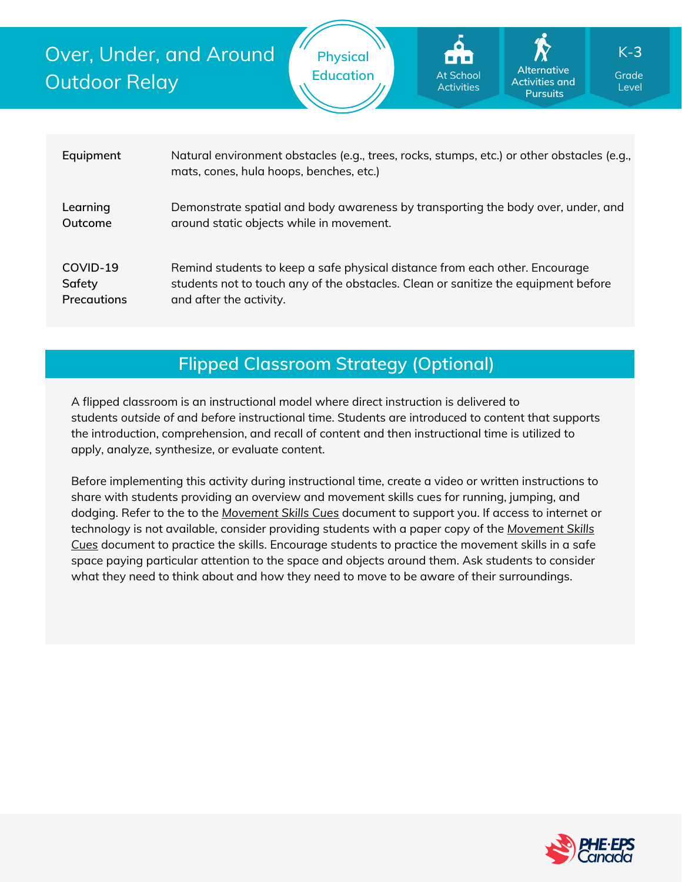Over, Under, and Around Outdoor Relay

**Physical**

**Education** At School Alternative Grade **Alternative Activities and Pursuits** At School Activities

Level K-**3**

| Equipment          | Natural environment obstacles (e.g., trees, rocks, stumps, etc.) or other obstacles (e.g.,<br>mats, cones, hula hoops, benches, etc.) |
|--------------------|---------------------------------------------------------------------------------------------------------------------------------------|
| Learning           | Demonstrate spatial and body awareness by transporting the body over, under, and                                                      |
| Outcome            | around static objects while in movement.                                                                                              |
| COVID-19           | Remind students to keep a safe physical distance from each other. Encourage                                                           |
| Safety             | students not to touch any of the obstacles. Clean or sanitize the equipment before                                                    |
| <b>Precautions</b> | and after the activity.                                                                                                               |

# **Flipped Classroom Strategy (Optional)**

A flipped classroom is an instructional model where direct instruction is delivered to students *outside of* and *before* instructional time. Students are introduced to content that supports the introduction, comprehension, and recall of content and then instructional time is utilized to apply, analyze, synthesize, or evaluate content.

Before implementing this activity during instructional time, create a video or written instructions to share with students providing an overview and movement skills cues for running, jumping, and dodging. Refer to the to the *[Movement](https://phecanada.ca/sites/default/files/content/docs/Home%20Learning%20Resource/Movement%20Cues/Movement%20Skills%20Cues%201.pdf) Skills Cues* document to support you. If access to internet or [technology](https://phecanada.ca/sites/default/files/content/docs/Home%20Learning%20Resource/Movement%20Cues/Movement%20Skills%20Cues%201.pdf) is not available, consider providing students with a paper copy of the *Movement Skills Cues* document to practice the skills. Encourage students to practice the movement skills in a safe space paying particular attention to the space and objects around them. Ask students to consider what they need to think about and how they need to move to be aware of their surroundings.

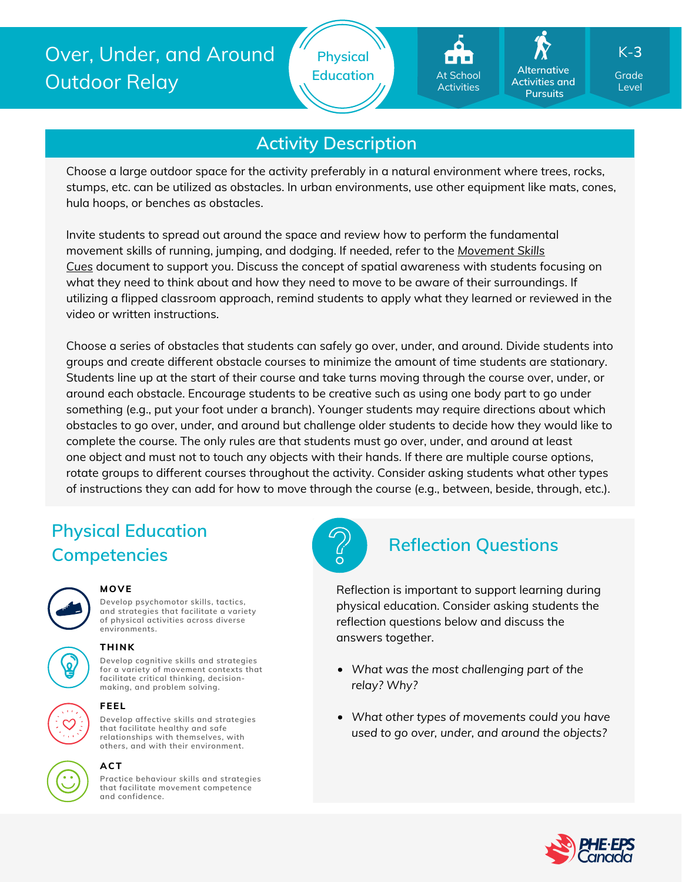



**Alternative Activities and Pursuits**

Level K-**3**

## **Activity Description**

Choose a large outdoor space for the activity preferably in a natural environment where trees, rocks, stumps, etc. can be utilized as obstacles. In urban environments, use other equipment like mats, cones, hula hoops, or benches as obstacles.

Invite students to spread out around the space and review how to perform the fundamental movement skills of running, jumping, and dodging. If needed, refer to the *Movement Skills Cue[s](https://phecanada.ca/sites/default/files/content/docs/Home%20Learning%20Resource/Movement%20Cues/Movement%20Skills%20Cues%201.pdf)* document to support you. Discuss the concept of spatial [awareness](https://phecanada.ca/sites/default/files/content/docs/Home%20Learning%20Resource/Movement%20Cues/Movement%20Skills%20Cues%201.pdf) with students focusing on what they need to think about and how they need to move to be aware of their surroundings. If utilizing a flipped classroom approach, remind students to apply what they learned or reviewed in the video or written instructions.

Choose a series of obstacles that students can safely go over, under, and around. Divide students into groups and create different obstacle courses to minimize the amount of time students are stationary. Students line up at the start of their course and take turns moving through the course over, under, or around each obstacle. Encourage students to be creative such as using one body part to go under something (e.g., put your foot under a branch). Younger students may require directions about which obstacles to go over, under, and around but challenge older students to decide how they would like to complete the course. The only rules are that students must go over, under, and around at least one object and must not to touch any objects with their hands. If there are multiple course options, rotate groups to different courses throughout the activity. Consider asking students what other types of instructions they can add for how to move through the course (e.g., between, beside, through, etc.).

# **Physical Education Competencies**



**Develop psychomotor skills, tactics, and strategies that facilitate a variety of physical activities across diverse environments.**

#### **MOVE**

# **THINK**

**Develop cognitive skills and strategies for a variety of movement contexts that**

**facilitate critical thinking, decision making, and problem solving.**



#### **FEEL**

**Develop affective skills and strategies that facilitate healthy and safe relationships with themselves, with others, and with their environment.**



### **ACT**

**Practice behaviour skills and strategies that facilitate movement competence and confidence.**



# **Reflection Questions**

Reflection is important to support learning during physical education. Consider asking students the reflection questions below and discuss the answers together.

- *What was the most challenging part of the relay? Why?*
- *What other types of movements could you have used to go over, under, and around the objects?*